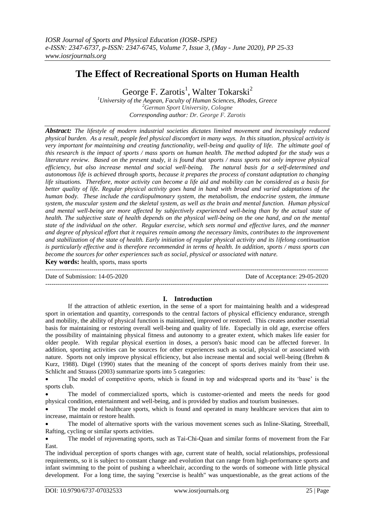# **The Effect of Recreational Sports on Human Health**

George F. Zarotis<sup>1</sup>, Walter Tokarski<sup>2</sup>

*<sup>1</sup>University of the Aegean, Faculty of Human Sciences, Rhodes, Greece <sup>2</sup>German Sport University, Cologne Corresponding author: Dr. George F. Zarotis*

*Abstract: The lifestyle of modern industrial societies dictates limited movement and increasingly reduced physical burden. As a result, people feel physical discomfort in many ways. In this situation, physical activity is very important for maintaining and creating functionality, well-being and quality of life. The ultimate goal of this research is the impact of sports / mass sports on human health. The method adopted for the study was a literature review. Based on the present study, it is found that sports / mass sports not only improve physical efficiency, but also increase mental and social well-being. The natural basis for a self-determined and autonomous life is achieved through sports, because it prepares the process of constant adaptation to changing life situations. Therefore, motor activity can become a life aid and mobility can be considered as a basis for better quality of life. Regular physical activity goes hand in hand with broad and varied adaptations of the human body. These include the cardiopulmonary system, the metabolism, the endocrine system, the immune system, the muscular system and the skeletal system, as well as the brain and mental function. Human physical and mental well-being are more affected by subjectively experienced well-being than by the actual state of health. The subjective state of health depends on the physical well-being on the one hand, and on the mental state of the individual on the other. Regular exercise, which sets normal and effective lures, and the manner and degree of physical effort that it requires remain among the necessary limits, contributes to the improvement and stabilization of the state of health. Early initiation of regular physical activity and its lifelong continuation is particularly effective and is therefore recommended in terms of health. In addition, sports / mass sports can become the sources for other experiences such as social, physical or associated with nature.*

**Key words:** health, sports, mass sports

Date of Submission: 14-05-2020 Date of Acceptance: 29-05-2020

# **I. Introduction**

---------------------------------------------------------------------------------------------------------------------------------------

---------------------------------------------------------------------------------------------------------------------------------------

If the attraction of athletic exertion, in the sense of a sport for maintaining health and a widespread sport in orientation and quantity, corresponds to the central factors of physical efficiency endurance, strength and mobility, the ability of physical function is maintained, improved or restored. This creates another essential basis for maintaining or restoring overall well-being and quality of life. Especially in old age, exercise offers the possibility of maintaining physical fitness and autonomy to a greater extent, which makes life easier for older people. With regular physical exertion in doses, a person's basic mood can be affected forever. In addition, sporting activities can be sources for other experiences such as social, physical or associated with nature. Sports not only improve physical efficiency, but also increase mental and social well-being (Brehm & Kurz, 1988). Digel (1990) states that the meaning of the concept of sports derives mainly from their use. Schlicht and Strauss (2003) summarize sports into 5 categories:

 The model of competitive sports, which is found in top and widespread sports and its 'base' is the sports club.

 The model of commercialized sports, which is customer-oriented and meets the needs for good physical condition, entertainment and well-being, and is provided by studios and tourism businesses.

 The model of healthcare sports, which is found and operated in many healthcare services that aim to increase, maintain or restore health.

 The model of alternative sports with the various movement scenes such as Inline-Skating, Streetball, Rafting, cycling or similar sports activities.

 The model of rejuvenating sports, such as Tai-Chi-Quan and similar forms of movement from the Far East.

The individual perception of sports changes with age, current state of health, social relationships, professional requirements, so it is subject to constant change and evolution that can range from high-performance sports and infant swimming to the point of pushing a wheelchair, according to the words of someone with little physical development. For a long time, the saying "exercise is health" was unquestionable, as the great actions of the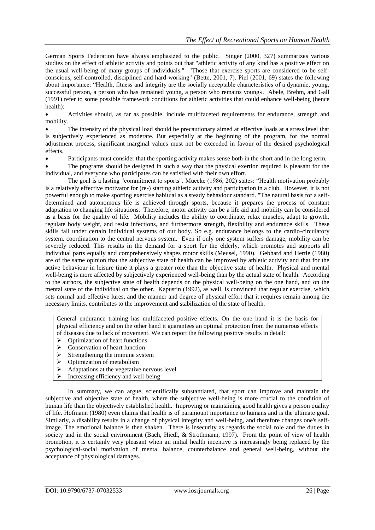German Sports Federation have always emphasized to the public. Singer (2000, 327) summarizes various studies on the effect of athletic activity and points out that "athletic activity of any kind has a positive effect on the usual well-being of many groups of individuals." "Those that exercise sports are considered to be selfconscious, self-controlled, disciplined and hard-working" (Bette, 2001, 7). Piel (2001, 69) states the following about importance: "Health, fitness and integrity are the socially acceptable characteristics of a dynamic, young, successful person, a person who has remained young, a person who remains young». Abele, Brehm, and Gall (1991) refer to some possible framework conditions for athletic activities that could enhance well-being (hence health):

 Activities should, as far as possible, include multifaceted requirements for endurance, strength and mobility.

 The intensity of the physical load should be precautionary aimed at effective loads at a stress level that is subjectively experienced as moderate. But especially at the beginning of the program, for the normal adjustment process, significant marginal values must not be exceeded in favour of the desired psychological effects.

Participants must consider that the sporting activity makes sense both in the short and in the long term.

 The programs should be designed in such a way that the physical exertion required is pleasant for the individual, and everyone who participates can be satisfied with their own effort.

The goal is a lasting "commitment to sports". Muecke (1986, 202) states: "Health motivation probably is a relatively effective motivator for (re-) starting athletic activity and participation in a club. However, it is not powerful enough to make sporting exercise habitual as a steady behaviour standard. "The natural basis for a selfdetermined and autonomous life is achieved through sports, because it prepares the process of constant adaptation to changing life situations. Therefore, motor activity can be a life aid and mobility can be considered as a basis for the quality of life. Mobility includes the ability to coordinate, relax muscles, adapt to growth, regulate body weight, and resist infections, and furthermore strength, flexibility and endurance skills. These skills fall under certain individual systems of our body. So e.g. endurance belongs to the cardio-circulatory system, coordination to the central nervous system. Even if only one system suffers damage, mobility can be severely reduced. This results in the demand for a sport for the elderly, which promotes and supports all individual parts equally and comprehensively shapes motor skills (Meusel, 1990). Gebhard and Hertle (1980) are of the same opinion that the subjective state of health can be improved by athletic activity and that for the active behaviour in leisure time it plays a greater role than the objective state of health. Physical and mental well-being is more affected by subjectively experienced well-being than by the actual state of health. According to the authors, the subjective state of health depends on the physical well-being on the one hand, and on the mental state of the individual on the other. Kapustin (1992), as well, is convinced that regular exercise, which sets normal and effective lures, and the manner and degree of physical effort that it requires remain among the necessary limits, contributes to the improvement and stabilization of the state of health.

General endurance training has multifaceted positive effects. On the one hand it is the basis for physical efficiency and on the other hand it guarantees an optimal protection from the numerous effects of diseases due to lack of movement. We can report the following positive results in detail:

- $\triangleright$  Optimization of heart functions
- $\triangleright$  Conservation of heart function
- $\triangleright$  Strengthening the immune system
- $\triangleright$  Optimization of metabolism
- $\triangleright$  Adaptations at the vegetative nervous level
- $\triangleright$  Increasing efficiency and well-being

In summary, we can argue, scientifically substantiated, that sport can improve and maintain the subjective and objective state of health, where the subjective well-being is more crucial to the condition of human life than the objectively established health. Improving or maintaining good health gives a person quality of life. Hofmann (1980) even claims that health is of paramount importance to humans and is the ultimate goal. Similarly, a disability results in a change of physical integrity and well-being, and therefore changes one's selfimage. The emotional balance is then shaken. There is insecurity as regards the social role and the duties in society and in the social environment (Bach, Hiedl, & Strothmann, 1997). From the point of view of health promotion, it is certainly very pleasant when an initial health incentive is increasingly being replaced by the psychological-social motivation of mental balance, counterbalance and general well-being, without the acceptance of physiological damages.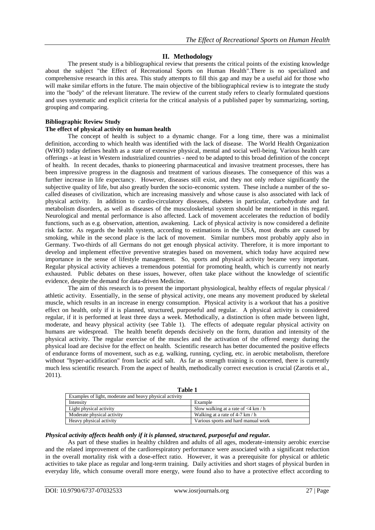# **II. Methodology**

The present study is a bibliographical review that presents the critical points of the existing knowledge about the subject "the Effect of Recreational Sports on Human Health".There is no specialized and comprehensive research in this area. This study attempts to fill this gap and may be a useful aid for those who will make similar efforts in the future. The main objective of the bibliographical review is to integrate the study into the "body" of the relevant literature. The review of the current study refers to clearly formulated questions and uses systematic and explicit criteria for the critical analysis of a published paper by summarizing, sorting, grouping and comparing.

#### **Bibliographic Review Study The effect of physical activity on human health**

The concept of health is subject to a dynamic change. For a long time, there was a minimalist definition, according to which health was identified with the lack of disease. The World Health Organization (WHO) today defines health as a state of extensive physical, mental and social well-being. Various health care offerings - at least in Western industrialized countries - need to be adapted to this broad definition of the concept of health. In recent decades, thanks to pioneering pharmaceutical and invasive treatment processes, there has been impressive progress in the diagnosis and treatment of various diseases. The consequence of this was a further increase in life expectancy. However, diseases still exist, and they not only reduce significantly the subjective quality of life, but also greatly burden the socio-economic system. These include a number of the socalled diseases of civilization, which are increasing massively and whose cause is also associated with lack of physical activity. In addition to cardio-circulatory diseases, diabetes in particular, carbohydrate and fat metabolism disorders, as well as diseases of the musculoskeletal system should be mentioned in this regard. Neurological and mental performance is also affected. Lack of movement accelerates the reduction of bodily functions, such as e.g. observation, attention, awakening. Lack of physical activity is now considered a definite risk factor. As regards the health system, according to estimations in the USA, most deaths are caused by smoking, while in the second place is the lack of movement. Similar numbers most probably apply also in Germany. Two-thirds of all Germans do not get enough physical activity. Therefore, it is more important to develop and implement effective preventive strategies based on movement, which today have acquired new importance in the sense of lifestyle management. So, sports and physical activity became very important. Regular physical activity achieves a tremendous potential for promoting health, which is currently not nearly exhausted. Public debates on these issues, however, often take place without the knowledge of scientific evidence, despite the demand for data-driven Medicine.

The aim of this research is to present the important physiological, healthy effects of regular physical / athletic activity. Essentially, in the sense of physical activity, one means any movement produced by skeletal muscle, which results in an increase in energy consumption. Physical activity is a workout that has a positive effect on health, only if it is planned, structured, purposeful and regular. A physical activity is considered regular, if it is performed at least three days a week. Methodically, a distinction is often made between light, moderate, and heavy physical activity (see Table 1). The effects of adequate regular physical activity on humans are widespread. The health benefit depends decisively on the form, duration and intensity of the physical activity. The regular exercise of the muscles and the activation of the offered energy during the physical load are decisive for the effect on health. Scientific research has better documented the positive effects of endurance forms of movement, such as e.g. walking, running, cycling, etc. in aerobic metabolism, therefore without "hyper-acidification" from lactic acid salt. As far as strength training is concerned, there is currently much less scientific research. From the aspect of health, methodically correct execution is crucial (Zarotis et al., 2011).

**Table 1**

| Examples of light, moderate and heavy physical activity |                                        |
|---------------------------------------------------------|----------------------------------------|
| Intensity                                               | Example                                |
| Light physical activity                                 | Slow walking at a rate of $<$ 4 km / h |
| Moderate physical activity                              | Walking at a rate of 4-7 km $/h$       |
| Heavy physical activity                                 | Various sports and hard manual work    |

#### *Physical activity affects health only if it is planned, structured, purposeful and regular.*

As part of these studies in healthy children and adults of all ages, moderate-intensity aerobic exercise and the related improvement of the cardiorespiratory performance were associated with a significant reduction in the overall mortality risk with a dose-effect ratio. However, it was a prerequisite for physical or athletic activities to take place as regular and long-term training. Daily activities and short stages of physical burden in everyday life, which consume overall more energy, were found also to have a protective effect according to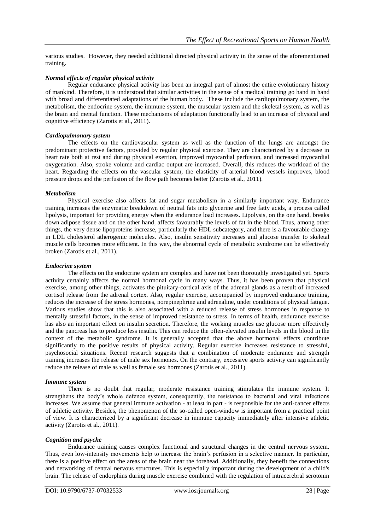various studies. However, they needed additional directed physical activity in the sense of the aforementioned training.

# *Normal effects of regular physical activity*

Regular endurance physical activity has been an integral part of almost the entire evolutionary history of mankind. Therefore, it is understood that similar activities in the sense of a medical training go hand in hand with broad and differentiated adaptations of the human body. These include the cardiopulmonary system, the metabolism, the endocrine system, the immune system, the muscular system and the skeletal system, as well as the brain and mental function. These mechanisms of adaptation functionally lead to an increase of physical and cognitive efficiency (Zarotis et al., 2011).

#### *Cardiopulmonary system*

The effects on the cardiovascular system as well as the function of the lungs are amongst the predominant protective factors, provided by regular physical exercise. They are characterized by a decrease in heart rate both at rest and during physical exertion, improved myocardial perfusion, and increased myocardial oxygenation. Also, stroke volume and cardiac output are increased. Overall, this reduces the workload of the heart. Regarding the effects on the vascular system, the elasticity of arterial blood vessels improves, blood pressure drops and the perfusion of the flow path becomes better (Zarotis et al., 2011).

### *Metabolism*

Physical exercise also affects fat and sugar metabolism in a similarly important way. Endurance training increases the enzymatic breakdown of neutral fats into glycerine and free fatty acids, a process called lipolysis, important for providing energy when the endurance load increases. Lipolysis, on the one hand, breaks down adipose tissue and on the other hand, affects favourably the levels of fat in the blood. Thus, among other things, the very dense lipoproteins increase, particularly the HDL subcategory, and there is a favourable change in LDL cholesterol atherogenic molecules. Also, insulin sensitivity increases and glucose transfer to skeletal muscle cells becomes more efficient. In this way, the abnormal cycle of metabolic syndrome can be effectively broken (Zarotis et al., 2011).

#### *Endocrine system*

The effects on the endocrine system are complex and have not been thoroughly investigated yet. Sports activity certainly affects the normal hormonal cycle in many ways. Thus, it has been proven that physical exercise, among other things, activates the pituitary-cortical axis of the adrenal glands as a result of increased cortisol release from the adrenal cortex. Also, regular exercise, accompanied by improved endurance training, reduces the increase of the stress hormones, norepinephrine and adrenaline, under conditions of physical fatigue. Various studies show that this is also associated with a reduced release of stress hormones in response to mentally stressful factors, in the sense of improved resistance to stress. In terms of health, endurance exercise has also an important effect on insulin secretion. Therefore, the working muscles use glucose more effectively and the pancreas has to produce less insulin. This can reduce the often-elevated insulin levels in the blood in the context of the metabolic syndrome. It is generally accepted that the above hormonal effects contribute significantly to the positive results of physical activity. Regular exercise increases resistance to stressful, psychosocial situations. Recent research suggests that a combination of moderate endurance and strength training increases the release of male sex hormones. On the contrary, excessive sports activity can significantly reduce the release of male as well as female sex hormones (Zarotis et al., 2011).

#### *Immune system*

There is no doubt that regular, moderate resistance training stimulates the immune system. It strengthens the body's whole defence system, consequently, the resistance to bacterial and viral infections increases. We assume that general immune activation - at least in part - is responsible for the anti-cancer effects of athletic activity. Besides, the phenomenon of the so-called open-window is important from a practical point of view. It is characterized by a significant decrease in immune capacity immediately after intensive athletic activity (Zarotis et al., 2011).

# *Cognition and psyche*

Endurance training causes complex functional and structural changes in the central nervous system. Thus, even low-intensity movements help to increase the brain's perfusion in a selective manner. In particular, there is a positive effect on the areas of the brain near the forehead. Additionally, they benefit the connections and networking of central nervous structures. This is especially important during the development of a child's brain. The release of endorphins during muscle exercise combined with the regulation of intracerebral serotonin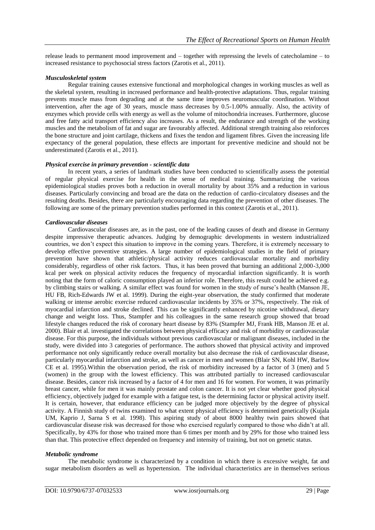release leads to permanent mood improvement and – together with repressing the levels of catecholamine – to increased resistance to psychosocial stress factors (Zarotis et al., 2011).

### *Musculoskeletal system*

Regular training causes extensive functional and morphological changes in working muscles as well as the skeletal system, resulting in increased performance and health-protective adaptations. Thus, regular training prevents muscle mass from degrading and at the same time improves neuromuscular coordination. Without intervention, after the age of 30 years, muscle mass decreases by 0.5-1.00% annually. Also, the activity of enzymes which provide cells with energy as well as the volume of mitochondria increases. Furthermore, glucose and free fatty acid transport efficiency also increases. As a result, the endurance and strength of the working muscles and the metabolism of fat and sugar are favourably affected. Additional strength training also reinforces the bone structure and joint cartilage, thickens and fixes the tendon and ligament fibres. Given the increasing life expectancy of the general population, these effects are important for preventive medicine and should not be underestimated (Zarotis et al., 2011).

### *Physical exercise in primary prevention - scientific data*

In recent years, a series of landmark studies have been conducted to scientifically assess the potential of regular physical exercise for health in the sense of medical training. Summarizing the various epidemiological studies proves both a reduction in overall mortality by about 35% and a reduction in various diseases. Particularly convincing and broad are the data on the reduction of cardio-circulatory diseases and the resulting deaths. Besides, there are particularly encouraging data regarding the prevention of other diseases. The following are some of the primary prevention studies performed in this context (Zarotis et al., 2011).

### *Cardiovascular diseases*

Cardiovascular diseases are, as in the past, one of the leading causes of death and disease in Germany despite impressive therapeutic advances. Judging by demographic developments in western industrialized countries, we don't expect this situation to improve in the coming years. Therefore, it is extremely necessary to develop effective preventive strategies. A large number of epidemiological studies in the field of primary prevention have shown that athletic/physical activity reduces cardiovascular mortality and morbidity considerably, regardless of other risk factors. Thus, it has been proved that burning an additional 2,000-3,000 kcal per week on physical activity reduces the frequency of myocardial infarction significantly. It is worth noting that the form of caloric consumption played an inferior role. Therefore, this result could be achieved e.g. by climbing stairs or walking. A similar effect was found for women in the study of nurse's health (Manson JE, HU FB, Rich-Edwards JW et al. 1999). During the eight-year observation, the study confirmed that moderate walking or intense aerobic exercise reduced cardiovascular incidents by 35% or 37%, respectively. The risk of myocardial infarction and stroke declined. This can be significantly enhanced by nicotine withdrawal, dietary change and weight loss. Thus, Stampfer and his colleagues in the same research group showed that broad lifestyle changes reduced the risk of coronary heart disease by 83% (Stampfer MJ, Frank HB, Manson JE et al. 2000). Blair et al. investigated the correlations between physical efficacy and risk of morbidity or cardiovascular disease. For this purpose, the individuals without previous cardiovascular or malignant diseases, included in the study, were divided into 3 categories of performance. The authors showed that physical activity and improved performance not only significantly reduce overall mortality but also decrease the risk of cardiovascular disease, particularly myocardial infarction and stroke, as well as cancer in men and women (Blair SN, Kohl HW, Barlow CE et al. 1995).Within the observation period, the risk of morbidity increased by a factor of 3 (men) and 5 (women) in the group with the lowest efficiency. This was attributed partially to increased cardiovascular disease. Besides, cancer risk increased by a factor of 4 for men and 16 for women. For women, it was primarily breast cancer, while for men it was mainly prostate and colon cancer. It is not yet clear whether good physical efficiency, objectively judged for example with a fatigue test, is the determining factor or physical activity itself. It is certain, however, that endurance efficiency can be judged more objectively by the degree of physical activity. A Finnish study of twins examined to what extent physical efficiency is determined genetically (Kujala UM, Kaprio J, Sarna S et al. 1998). This aspiring study of about 8000 healthy twin pairs showed that cardiovascular disease risk was decreased for those who exercised regularly compared to those who didn't at all. Specifically, by 43% for those who trained more than 6 times per month and by 29% for those who trained less than that. This protective effect depended on frequency and intensity of training, but not on genetic status.

### *Metabolic syndrome*

The metabolic syndrome is characterized by a condition in which there is excessive weight, fat and sugar metabolism disorders as well as hypertension. The individual characteristics are in themselves serious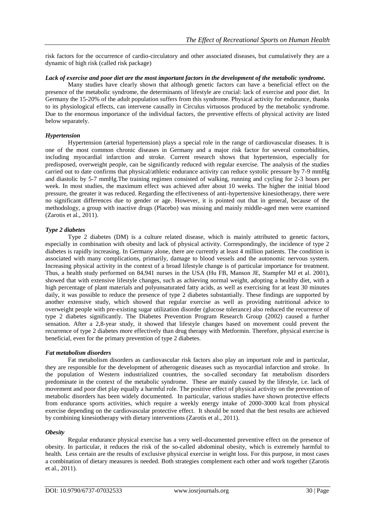risk factors for the occurrence of cardio-circulatory and other associated diseases, but cumulatively they are a dynamic of high risk (called risk package)

# *Lack of exercise and poor diet are the most important factors in the development of the metabolic syndrome.*

Many studies have clearly shown that although genetic factors can have a beneficial effect on the presence of the metabolic syndrome, the determinants of lifestyle are crucial: lack of exercise and poor diet. In Germany the 15-20% of the adult population suffers from this syndrome. Physical activity for endurance, thanks to its physiological effects, can intervene causally in Circulus virtuosos produced by the metabolic syndrome. Due to the enormous importance of the individual factors, the preventive effects of physical activity are listed below separately.

# *Hypertension*

Hypertension (arterial hypertension) plays a special role in the range of cardiovascular diseases. It is one of the most common chronic diseases in Germany and a major risk factor for several comorbidities, including myocardial infarction and stroke. Current research shows that hypertension, especially for predisposed, overweight people, can be significantly reduced with regular exercise. The analysis of the studies carried out to date confirms that physical/athletic endurance activity can reduce systolic pressure by 7-9 mmHg and diastolic by 5-7 mmHg.The training regimen consisted of walking, running and cycling for 2-3 hours per week. In most studies, the maximum effect was achieved after about 10 weeks. The higher the initial blood pressure, the greater it was reduced. Regarding the effectiveness of anti-hypertensive kinesiotherapy, there were no significant differences due to gender or age. However, it is pointed out that in general, because of the methodology, a group with inactive drugs (Placebo) was missing and mainly middle-aged men were examined (Zarotis et al., 2011).

### *Type 2 diabetes*

Type 2 diabetes (DM) is a culture related disease, which is mainly attributed to genetic factors, especially in combination with obesity and lack of physical activity. Correspondingly, the incidence of type 2 diabetes is rapidly increasing. In Germany alone, there are currently at least 4 million patients. The condition is associated with many complications, primarily, damage to blood vessels and the autonomic nervous system. Increasing physical activity in the context of a broad lifestyle change is of particular importance for treatment. Thus, a health study performed on 84,941 nurses in the USA (Hu FB, Manson JE, Stampfer MJ et al. 2001), showed that with extensive lifestyle changes, such as achieving normal weight, adopting a healthy diet, with a high percentage of plant materials and polyunsaturated fatty acids, as well as exercising for at least 30 minutes daily, it was possible to reduce the presence of type 2 diabetes substantially. These findings are supported by another extensive study, which showed that regular exercise as well as providing nutritional advice to overweight people with pre-existing sugar utilization disorder (glucose tolerance) also reduced the recurrence of type 2 diabetes significantly. The Diabetes Prevention Program Research Group (2002) caused a further sensation. After a 2,8-year study, it showed that lifestyle changes based on movement could prevent the recurrence of type 2 diabetes more effectively than drug therapy with Metformin. Therefore, physical exercise is beneficial, even for the primary prevention of type 2 diabetes.

# *Fat metabolism disorders*

Fat metabolism disorders as cardiovascular risk factors also play an important role and in particular, they are responsible for the development of atherogenic diseases such as myocardial infarction and stroke. In the population of Western industrialized countries, the so-called secondary fat metabolism disorders predominate in the context of the metabolic syndrome. These are mainly caused by the lifestyle, i.e. lack of movement and poor diet play equally a harmful role. The positive effect of physical activity on the prevention of metabolic disorders has been widely documented. In particular, various studies have shown protective effects from endurance sports activities, which require a weekly energy intake of 2000-3000 kcal from physical exercise depending on the cardiovascular protective effect. It should be noted that the best results are achieved by combining kinesiotherapy with dietary interventions (Zarotis et al., 2011).

#### *Obesity*

Regular endurance physical exercise has a very well-documented preventive effect on the presence of obesity. In particular, it reduces the risk of the so-called abdominal obesity, which is extremely harmful to health. Less certain are the results of exclusive physical exercise in weight loss. For this purpose, in most cases a combination of dietary measures is needed. Both strategies complement each other and work together (Zarotis et al., 2011).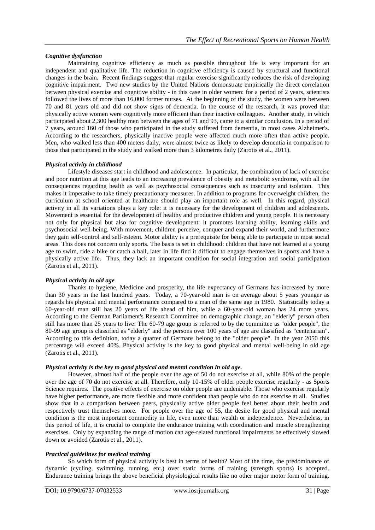# *Cognitive dysfunction*

Maintaining cognitive efficiency as much as possible throughout life is very important for an independent and qualitative life. The reduction in cognitive efficiency is caused by structural and functional changes in the brain. Recent findings suggest that regular exercise significantly reduces the risk of developing cognitive impairment. Two new studies by the United Nations demonstrate empirically the direct correlation between physical exercise and cognitive ability - in this case in older women: for a period of 2 years, scientists followed the lives of more than 16,000 former nurses. At the beginning of the study, the women were between 70 and 81 years old and did not show signs of dementia. In the course of the research, it was proved that physically active women were cognitively more efficient than their inactive colleagues. Another study, in which participated about 2,300 healthy men between the ages of 71 and 93, came to a similar conclusion. In a period of 7 years, around 160 of those who participated in the study suffered from dementia, in most cases Alzheimer's. According to the researchers, physically inactive people were affected much more often than active people. Men, who walked less than 400 meters daily, were almost twice as likely to develop dementia in comparison to those that participated in the study and walked more than 3 kilometres daily (Zarotis et al., 2011).

# *Physical activity in childhood*

Lifestyle diseases start in childhood and adolescence. In particular, the combination of lack of exercise and poor nutrition at this age leads to an increasing prevalence of obesity and metabolic syndrome, with all the consequences regarding health as well as psychosocial consequences such as insecurity and isolation. This makes it imperative to take timely precautionary measures. In addition to programs for overweight children, the curriculum at school oriented at healthcare should play an important role as well. In this regard, physical activity in all its variations plays a key role: it is necessary for the development of children and adolescents. Movement is essential for the development of healthy and productive children and young people. It is necessary not only for physical but also for cognitive development: it promotes learning ability, learning skills and psychosocial well-being. With movement, children perceive, conquer and expand their world, and furthermore they gain self-control and self-esteem. Motor ability is a prerequisite for being able to participate in most social areas. This does not concern only sports. The basis is set in childhood: children that have not learned at a young age to swim, ride a bike or catch a ball, later in life find it difficult to engage themselves in sports and have a physically active life. Thus, they lack an important condition for social integration and social participation (Zarotis et al., 2011).

# *Physical activity in old age*

Thanks to hygiene, Medicine and prosperity, the life expectancy of Germans has increased by more than 30 years in the last hundred years. Today, a 70-year-old man is on average about 5 years younger as regards his physical and mental performance compared to a man of the same age in 1980. Statistically today a 60-year-old man still has 20 years of life ahead of him, while a 60-year-old woman has 24 more years. According to the German Parliament's Research Committee on demographic change, an "elderly" person often still has more than 25 years to live: The 60-79 age group is referred to by the committee as "older people", the 80-99 age group is classified as "elderly" and the persons over 100 years of age are classified as "centenarian". According to this definition, today a quarter of Germans belong to the "older people". In the year 2050 this percentage will exceed 40%. Physical activity is the key to good physical and mental well-being in old age (Zarotis et al., 2011).

# *Physical activity is the key to good physical and mental condition in old age.*

However, almost half of the people over the age of 50 do not exercise at all, while 80% of the people over the age of 70 do not exercise at all. Therefore, only 10-15% of older people exercise regularly - as Sports Science requires. The positive effects of exercise on older people are undeniable. Those who exercise regularly have higher performance, are more flexible and more confident than people who do not exercise at all. Studies show that in a comparison between peers, physically active older people feel better about their health and respectively trust themselves more. For people over the age of 55, the desire for good physical and mental condition is the most important commodity in life, even more than wealth or independence. Nevertheless, in this period of life, it is crucial to complete the endurance training with coordination and muscle strengthening exercises. Only by expanding the range of motion can age-related functional impairments be effectively slowed down or avoided (Zarotis et al., 2011).

# *Practical guidelines for medical training*

So which form of physical activity is best in terms of health? Most of the time, the predominance of dynamic (cycling, swimming, running, etc.) over static forms of training (strength sports) is accepted. Endurance training brings the above beneficial physiological results like no other major motor form of training.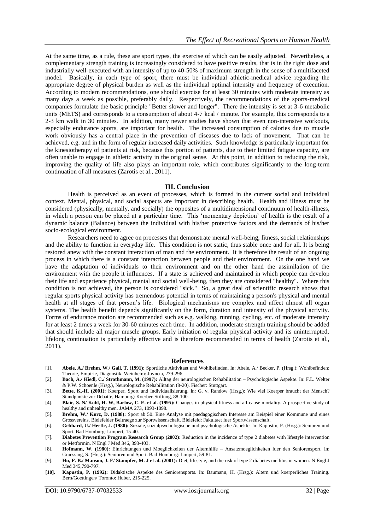At the same time, as a rule, these are sport types, the exercise of which can be easily adjusted. Nevertheless, a complementary strength training is increasingly considered to have positive results, that is in the right dose and industrially well-executed with an intensity of up to 40-50% of maximum strength in the sense of a multifaceted model. Basically, in each type of sport, there must be individual athletic-medical advice regarding the appropriate degree of physical burden as well as the individual optimal intensity and frequency of execution. According to modern recommendations, one should exercise for at least 30 minutes with moderate intensity as many days a week as possible, preferably daily. Respectively, the recommendations of the sports-medical companies formulate the basic principle "Better slower and longer". There the intensity is set at 3-6 metabolic units (METS) and corresponds to a consumption of about 4-7 kcal / minute. For example, this corresponds to a 2-3 km walk in 30 minutes. In addition, many newer studies have shown that even non-intensive workouts, especially endurance sports, are important for health. The increased consumption of calories due to muscle work obviously has a central place in the prevention of diseases due to lack of movement. That can be achieved, e.g. and in the form of regular increased daily activities. Such knowledge is particularly important for the kinesiotherapy of patients at risk, because this portion of patients, due to their limited fatigue capacity, are often unable to engage in athletic activity in the original sense. At this point, in addition to reducing the risk, improving the quality of life also plays an important role, which contributes significantly to the long-term continuation of all measures (Zarotis et al., 2011).

#### **III. Conclusion**

Health is perceived as an event of processes, which is formed in the current social and individual context. Mental, physical, and social aspects are important in describing health. Health and illness must be considered (physically, mentally, and socially) the opposites of a multidimensional continuum of health-illness, in which a person can be placed at a particular time. This 'momentary depiction' of health is the result of a dynamic balance (Balance) between the individual with his/her protective factors and the demands of his/her socio-ecological environment.

Researchers need to agree on processes that demonstrate mental well-being, fitness, social relationships and the ability to function in everyday life. This condition is not static, thus stable once and for all. It is being restored anew with the constant interaction of man and the environment. It is therefore the result of an ongoing process in which there is a constant interaction between people and their environment. On the one hand we have the adaptation of individuals to their environment and on the other hand the assimilation of the environment with the people it influences. If a state is achieved and maintained in which people can develop their life and experience physical, mental and social well-being, then they are considered "healthy". Where this condition is not achieved, the person is considered "sick." So, a great deal of scientific research shows that regular sports physical activity has tremendous potential in terms of maintaining a person's physical and mental health at all stages of that person's life. Biological mechanisms are complex and affect almost all organ systems. The health benefit depends significantly on the form, duration and intensity of the physical activity. Forms of endurance motion are recommended such as e.g. walking, running, cycling, etc. of moderate intensity for at least 2 times a week for 30-60 minutes each time. In addition, moderate strength training should be added that should include all major muscle groups. Early initiation of regular physical activity and its uninterrupted, lifelong continuation is particularly effective and is therefore recommended in terms of health (Zarotis et al., 2011).

#### **References**

- [1]. **Abele, A./ Brehm, W./ Gall, T. (1991):** Sportliche Aktivitaet und Wohlbefinden. In: Abele, A./ Becker, P. (Hrsg.): Wohlbefinden: Theorie, Empirie, Diagnostik. Weinheim: Juvneta, 279-296.
- [2]. **Bach, A./ Hiedl, C./ Strothmann, M. (1997):** Alltag der neurologischen Rehabilitation Psychologische Aspekte. In: F.L. Welter & P.W. Schoenle (Hrsg.), Neurologische Rehabilitation (8-20). Fischer: Stuttgart.
- [3]. **Bette, K.-H. (2001):** Koerper, Sport und Individualisierung. In: G. v. Randow (Hrsg.): Wie viel Koerper braucht der Mensch? Standpunkte zur Debatte, Hamburg: Koerber-Stiftung, 88-100.
- [4]. **Blair, S. N/ Kohl, H. W, Barlow, C. E. et al. (1995):** Changes in physical fitness and all-cause mortality. A prospective study of healthy and unhealthy men. JAMA 273, 1093-1098.
- [5]. **Brehm, W./ Kurz, D. (1988):** Sport ab 50. Eine Analyse mit paedagogischem Interesse am Beispiel einer Kommune und eines Grossvereins. Bielefelder Beitraege zur Sportwissenschaft. Bielefeld: Fakultaet fuer Sportwissenschaft.
- [6]. **Gebhard, U./ Hertle, J. (1980):** Soziale, sozialpsychologische und psychologische Aspekte. In: Kapustin, P. (Hrsg.): Senioren und Sport. Bad Homburg: Limpert, 15-40.
- [7]. **Diabetes Prevention Program Research Group (2002):** Reduction in the incidence of type 2 diabetes with lifestyle intervention or Metformin. N Engl J Med 346, 393-403.
- [8]. **Hofmann, W. (1980):** Einrichtungen und Moeglichkeiten der Alternhilfe Ansatzmoeglichkeiten fuer den Seniorensport. In: Groessing, S. (Hrsg.): Senioren und Sport. Bad Homburg: Limpert, 59-81.
- [9]. **Hu, F. B./ Manson, J. E/ Stampfer, M. J et al. (2001):** Diet, lifestyle, and the risk of type 2 diabetes mellitus in women. N Engl J Med 345,790-797.
- **[10]. Kapustin, P. (1992):** Didaktische Aspekte des Seniorensports. In: Baumann, H. (Hrsg.): Altern und koerperliches Training. Bern/Goettingen/ Toronto: Huber, 215-225.